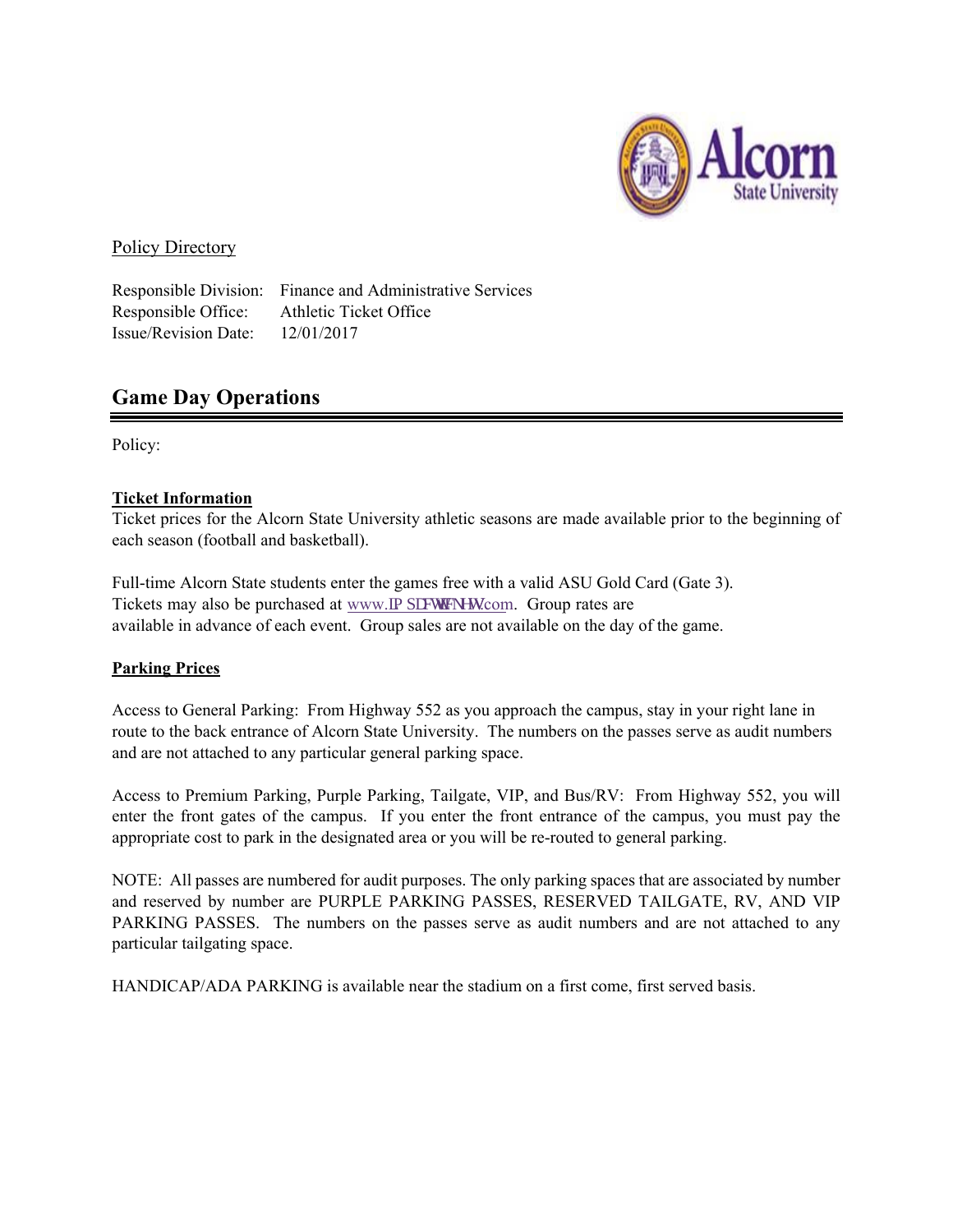

# Policy Directory

Responsible Office: Athletic Ticket Office Issue/Revision Date: 12/01/2017

Responsible Division: Finance and Administrative Services

# **Game Day Operations**

Policy:

# **Ticket Information**

Ticket prices for the Alcorn State University athletic seasons are made available prior to the beginning of each season (football and basketball).

Full-time Alcorn State students enter the games free with a valid ASU Gold Card (Gate 3). Tickets may also be purchased at www.lo r cewlengw.com. Group rates are available in advance of each event. Group sales are not available on the day of the game.

# **Parking Prices**

Access to General Parking: From Highway 552 as you approach the campus, stay in your right lane in route to the back entrance of Alcorn State University. The numbers on the passes serve as audit numbers and are not attached to any particular general parking space.

Access to Premium Parking, Purple Parking, Tailgate, VIP, and Bus/RV: From Highway 552, you will enter the front gates of the campus. If you enter the front entrance of the campus, you must pay the appropriate cost to park in the designated area or you will be re-routed to general parking.

NOTE: All passes are numbered for audit purposes. The only parking spaces that are associated by number and reserved by number are PURPLE PARKING PASSES, RESERVED TAILGATE, RV, AND VIP PARKING PASSES. The numbers on the passes serve as audit numbers and are not attached to any particular tailgating space.

HANDICAP/ADA PARKING is available near the stadium on a first come, first served basis.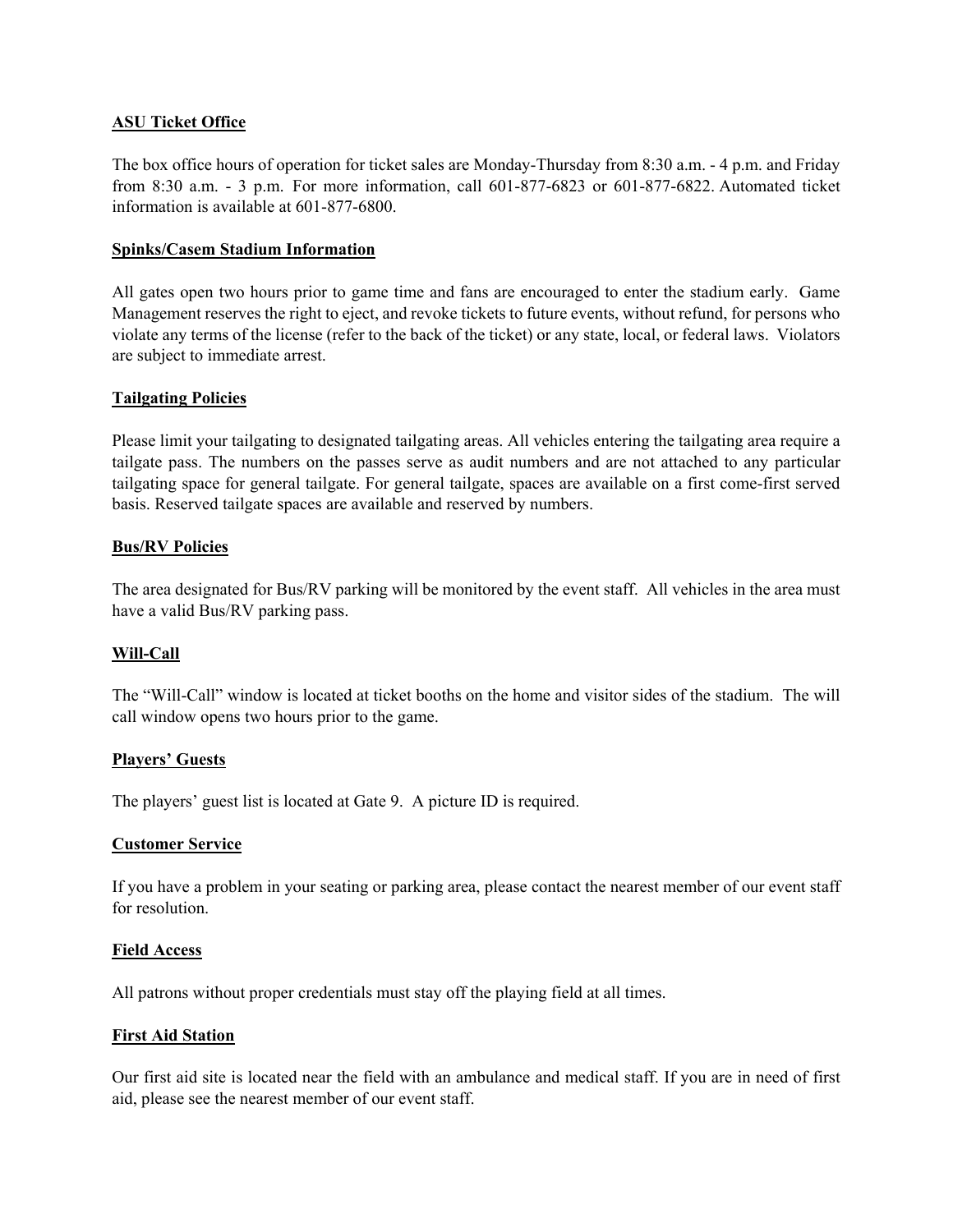## **ASU Ticket Office**

The box office hours of operation for ticket sales are Monday-Thursday from 8:30 a.m. - 4 p.m. and Friday from 8:30 a.m. - 3 p.m. For more information, call 601-877-6823 or 601-877-6822. Automated ticket information is available at 601-877-6800.

#### **Spinks/Casem Stadium Information**

All gates open two hours prior to game time and fans are encouraged to enter the stadium early. Game Management reserves the right to eject, and revoke tickets to future events, without refund, for persons who violate any terms of the license (refer to the back of the ticket) or any state, local, or federal laws. Violators are subject to immediate arrest.

#### **Tailgating Policies**

Please limit your tailgating to designated tailgating areas. All vehicles entering the tailgating area require a tailgate pass. The numbers on the passes serve as audit numbers and are not attached to any particular tailgating space for general tailgate. For general tailgate, spaces are available on a first come-first served basis. Reserved tailgate spaces are available and reserved by numbers.

## **Bus/RV Policies**

The area designated for Bus/RV parking will be monitored by the event staff. All vehicles in the area must have a valid Bus/RV parking pass.

## **Will-Call**

The "Will-Call" window is located at ticket booths on the home and visitor sides of the stadium. The will call window opens two hours prior to the game.

#### **Players' Guests**

The players' guest list is located at Gate 9. A picture ID is required.

#### **Customer Service**

If you have a problem in your seating or parking area, please contact the nearest member of our event staff for resolution.

#### **Field Access**

All patrons without proper credentials must stay off the playing field at all times.

## **First Aid Station**

Our first aid site is located near the field with an ambulance and medical staff. If you are in need of first aid, please see the nearest member of our event staff.